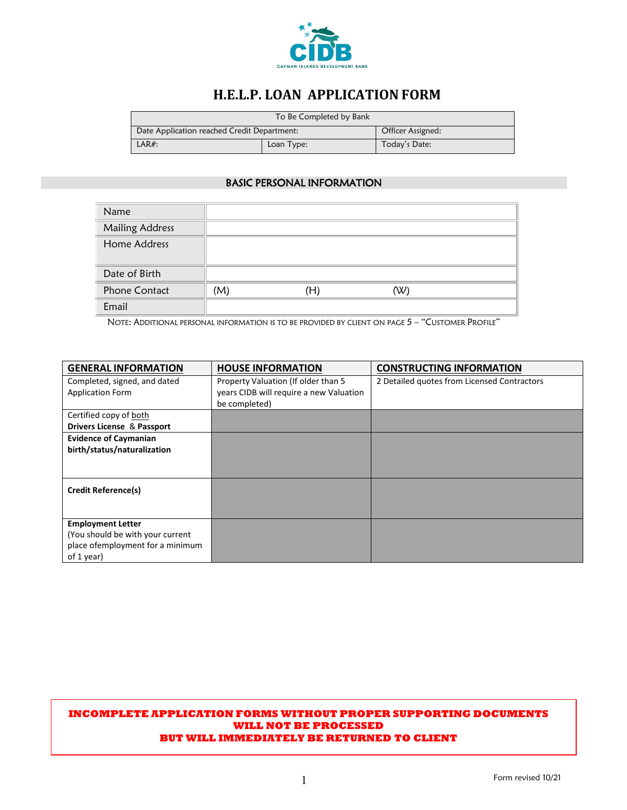

# **H.E.L.P. LOAN APPLICATION FORM**

| To Be Completed by Bank                     |  |                   |  |  |
|---------------------------------------------|--|-------------------|--|--|
| Date Application reached Credit Department: |  | Officer Assigned: |  |  |
| $LAR#$ :<br>Loan Type:                      |  | Today's Date:     |  |  |

## BASIC PERSONAL INFORMATION

| Name                   |     |    |     |  |
|------------------------|-----|----|-----|--|
| <b>Mailing Address</b> |     |    |     |  |
| Home Address           |     |    |     |  |
| Date of Birth          |     |    |     |  |
| <b>Phone Contact</b>   | (M) | Ή) | (W) |  |
| Email                  |     |    |     |  |

NOTE: ADDITIONAL PERSONAL INFORMATION IS TO BE PROVIDED BY CLIENT ON PAGE 5 – "CUSTOMER PROFILE"

| <b>GENERAL INFORMATION</b>        | <b>HOUSE INFORMATION</b>                | <b>CONSTRUCTING INFORMATION</b>             |
|-----------------------------------|-----------------------------------------|---------------------------------------------|
| Completed, signed, and dated      | Property Valuation (If older than 5     | 2 Detailed quotes from Licensed Contractors |
| <b>Application Form</b>           | years CIDB will require a new Valuation |                                             |
|                                   | be completed)                           |                                             |
| Certified copy of both            |                                         |                                             |
| Drivers License & Passport        |                                         |                                             |
| <b>Evidence of Caymanian</b>      |                                         |                                             |
| birth/status/naturalization       |                                         |                                             |
|                                   |                                         |                                             |
|                                   |                                         |                                             |
| <b>Credit Reference(s)</b>        |                                         |                                             |
|                                   |                                         |                                             |
|                                   |                                         |                                             |
| <b>Employment Letter</b>          |                                         |                                             |
| (You should be with your current  |                                         |                                             |
| place of employment for a minimum |                                         |                                             |
| of 1 year)                        |                                         |                                             |

#### **INCOMPLETE APPLICATION FORMS WITHOUT PROPER SUPPORTING DOCUMENTS WILL NOT BE PROCESSED BUT WILL IMMEDIATELY BE RETURNED TO CLIENT**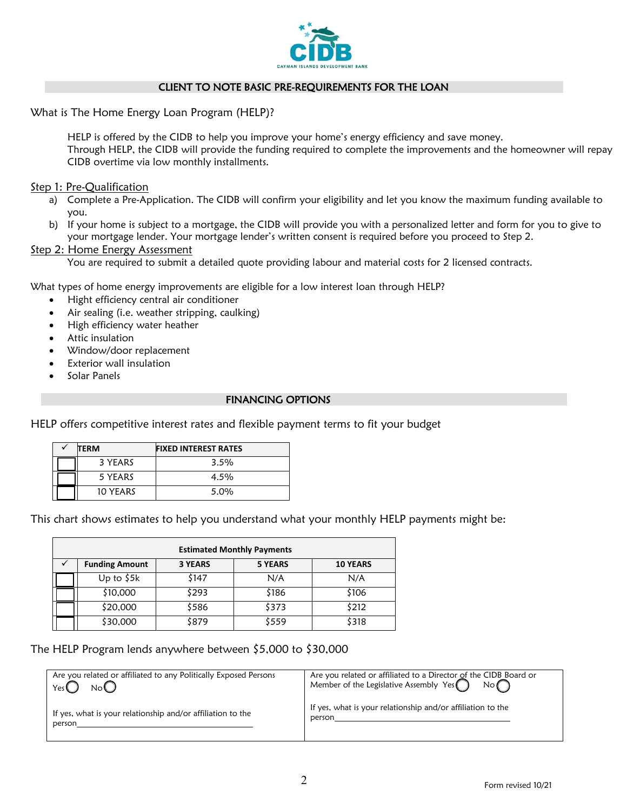

## CLIENT TO NOTE BASIC PRE-REQUIREMENTS FOR THE LOAN

What is The Home Energy Loan Program (HELP)?

HELP is offered by the CIDB to help you improve your home's energy efficiency and save money. Through HELP, the CIDB will provide the funding required to complete the improvements and the homeowner will repay CIDB overtime via low monthly installments.

### Step 1: Pre-Qualification

- a) Complete a Pre-Application. The CIDB will confirm your eligibility and let you know the maximum funding available to you.
- b) If your home is subject to a mortgage, the CIDB will provide you with a personalized letter and form for you to give to your mortgage lender. Your mortgage lender's written consent is required before you proceed to Step 2.

#### Step 2: Home Energy Assessment

You are required to submit a detailed quote providing labour and material costs for 2 licensed contracts.

What types of home energy improvements are eligible for a low interest loan through HELP?

- Hight efficiency central air conditioner
- Air sealing (i.e. weather stripping, caulking)
- High efficiency water heather
- Attic insulation
- Window/door replacement
- Exterior wall insulation
- Solar Panels

## FINANCING OPTIONS

HELP offers competitive interest rates and flexible payment terms to fit your budget

| TERM     | <b>FIXED INTEREST RATES</b> |
|----------|-----------------------------|
| 3 YEARS  | 3.5%                        |
| 5 YEARS  | $4.5\%$                     |
| 10 YEARS | $5.0\%$                     |

This chart shows estimates to help you understand what your monthly HELP payments might be:

| <b>Estimated Monthly Payments</b> |                       |                |                |                 |  |  |  |
|-----------------------------------|-----------------------|----------------|----------------|-----------------|--|--|--|
|                                   | <b>Funding Amount</b> | <b>3 YEARS</b> | <b>5 YEARS</b> | <b>10 YEARS</b> |  |  |  |
|                                   | Up to $$5k$           | \$147          | N/A            | N/A             |  |  |  |
|                                   | \$10,000              | \$293          | \$186          | \$106           |  |  |  |
|                                   | \$20,000              | \$586          | \$373          | \$212           |  |  |  |
|                                   | \$30,000              | \$879          | \$559          | \$318           |  |  |  |

The HELP Program lends anywhere between \$5,000 to \$30,000

| Are you related or affiliated to any Politically Exposed Persons | Are you related or affiliated to a Director of the CIDB Board or |
|------------------------------------------------------------------|------------------------------------------------------------------|
| No                                                               | Member of the Legislative Assembly Yes $\bigcap$                 |
| Yes(                                                             | $No \cap$                                                        |
| If yes, what is your relationship and/or affiliation to the      | If yes, what is your relationship and/or affiliation to the      |
| person                                                           | person                                                           |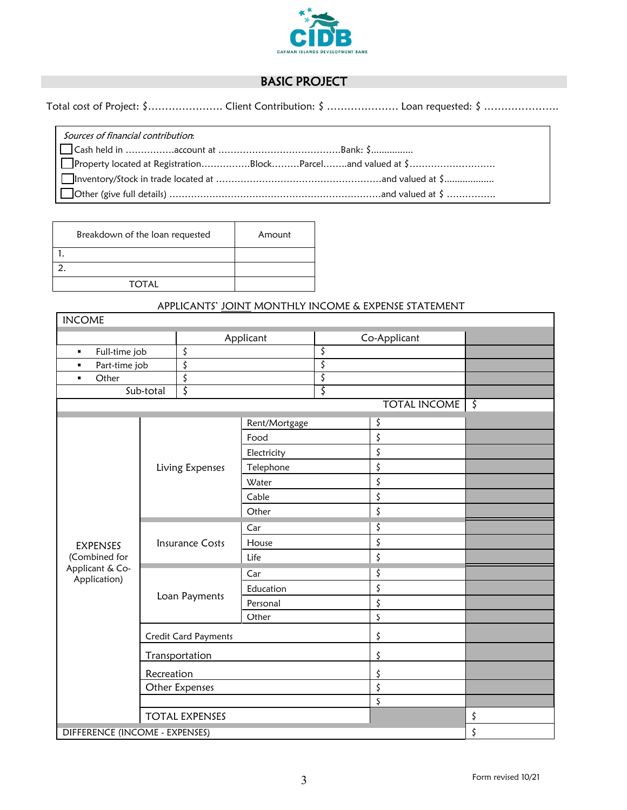

## BASIC PROJECT

Total cost of Project: \$……………………… Client Contribution: \$ ………………… Loan requested: \$ ……………………

Sources of financial contribution:

 Cash held in …………….account at ………………………………….Bank: \$................ Property located at Registration…………….Block………Parcel……..and valued at \$………………………. Inventory/Stock in trade located at ………………………………………………and valued at \$................... Other (give full details) ……………………………………………………………and valued at \$ …………….

| Breakdown of the loan requested | Amount |
|---------------------------------|--------|
|                                 |        |
|                                 |        |
| TOTAL                           |        |

## APPLICANTS' JOINT MONTHLY INCOME & EXPENSE STATEMENT

| <b>INCOME</b>                   |                        |                             |               |              |                     |         |
|---------------------------------|------------------------|-----------------------------|---------------|--------------|---------------------|---------|
|                                 |                        | Applicant                   |               | Co-Applicant |                     |         |
| Full-time job<br>٠              |                        | \$                          |               | \$           |                     |         |
| Part-time job<br>$\blacksquare$ |                        | \$                          |               | \$           |                     |         |
| Other<br>$\blacksquare$         |                        | \$                          |               | \$           |                     |         |
|                                 | Sub-total              | \$                          |               | \$           |                     |         |
|                                 |                        |                             |               |              | <b>TOTAL INCOME</b> | $\zeta$ |
|                                 |                        |                             | Rent/Mortgage |              | \$                  |         |
|                                 |                        |                             | Food          |              | \$                  |         |
|                                 |                        |                             | Electricity   |              | \$                  |         |
|                                 |                        | Living Expenses             | Telephone     |              | \$                  |         |
|                                 |                        |                             | Water         |              | \$                  |         |
|                                 |                        |                             | Cable         |              | \$                  |         |
|                                 |                        |                             | Other         |              | \$                  |         |
|                                 | <b>Insurance Costs</b> |                             | Car           |              | \$                  |         |
| <b>EXPENSES</b>                 |                        |                             | House         |              | \$                  |         |
| (Combined for                   |                        |                             | Life          |              | \$                  |         |
| Applicant & Co-<br>Application) |                        | Car                         |               | \$           |                     |         |
|                                 |                        |                             | Education     |              | \$                  |         |
|                                 | Loan Payments          | Personal                    |               | \$           |                     |         |
|                                 |                        |                             | Other         |              | Ş                   |         |
|                                 |                        | <b>Credit Card Payments</b> |               |              | \$                  |         |
|                                 |                        | Transportation              |               |              | \$                  |         |
|                                 | Recreation             |                             |               |              | \$                  |         |
|                                 |                        | Other Expenses              |               |              | \$                  |         |
|                                 |                        |                             |               |              | $\varsigma$         |         |
|                                 |                        | <b>TOTAL EXPENSES</b>       |               |              |                     | \$      |
| DIFFERENCE (INCOME - EXPENSES)  |                        |                             |               |              |                     | \$      |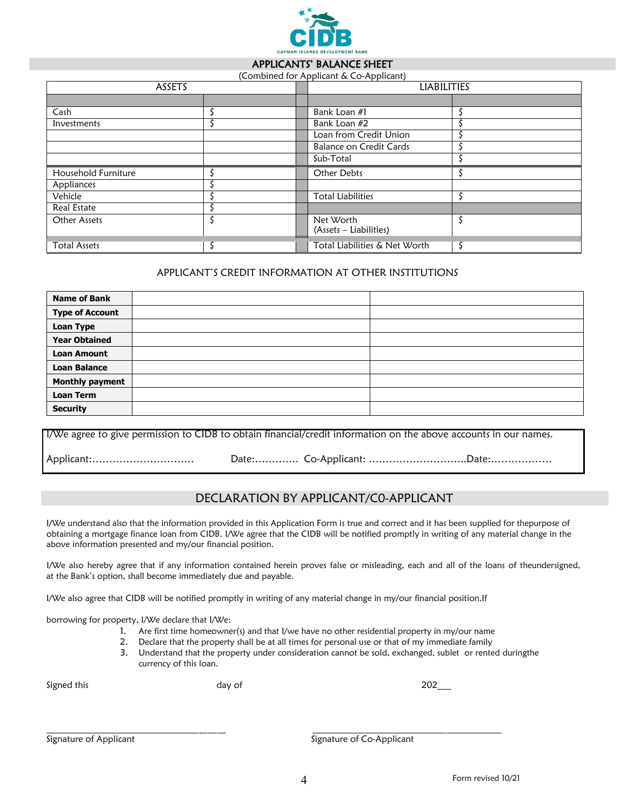

#### APPLICANTS' BALANCE SHEET (Combined for Applicant & Co-Applicant)

| ASSETS              |  |  | <b>LIABILITIES</b>                  |  |
|---------------------|--|--|-------------------------------------|--|
|                     |  |  |                                     |  |
| Cash                |  |  | Bank Loan #1                        |  |
| Investments         |  |  | Bank Loan #2                        |  |
|                     |  |  | Loan from Credit Union              |  |
|                     |  |  | <b>Balance on Credit Cards</b>      |  |
|                     |  |  | Sub-Total                           |  |
| Household Furniture |  |  | Other Debts                         |  |
| Appliances          |  |  |                                     |  |
| Vehicle             |  |  | <b>Total Liabilities</b>            |  |
| Real Estate         |  |  |                                     |  |
| Other Assets        |  |  | Net Worth<br>(Assets – Liabilities) |  |
| <b>Total Assets</b> |  |  | Total Liabilities & Net Worth       |  |

## APPLICANT'S CREDIT INFORMATION AT OTHER INSTITUTIONS

| <b>Name of Bank</b>    |  |
|------------------------|--|
| <b>Type of Account</b> |  |
| <b>Loan Type</b>       |  |
| <b>Year Obtained</b>   |  |
| <b>Loan Amount</b>     |  |
| <b>Loan Balance</b>    |  |
| <b>Monthly payment</b> |  |
| <b>Loan Term</b>       |  |
| <b>Security</b>        |  |

| I/We agree to give permission to CIDB to obtain financial/credit information on the above accounts in our names. |  |                          |  |
|------------------------------------------------------------------------------------------------------------------|--|--------------------------|--|
| Applicant:                                                                                                       |  | Date:Co-Applicant: Date: |  |

## DECLARATION BY APPLICANT/C0-APPLICANT

I/We understand also that the information provided in this Application Form is true and correct and it has been supplied for thepurpose of obtaining a mortgage finance loan from CIDB. I/We agree that the CIDB will be notified promptly in writing of any material change in the above information presented and my/our financial position.

I/We also hereby agree that if any information contained herein proves false or misleading, each and all of the loans of theundersigned, at the Bank's option, shall become immediately due and payable.

I/We also agree that CIDB will be notified promptly in writing of any material change in my/our financial position.If

borrowing for property, I/We declare that I/We:

- 1. Are first time homeowner(s) and that I/we have no other residential property in my/our name
- 2. Declare that the property shall be at all times for personal use or that of my immediate family
- 3. Understand that the property under consideration cannot be sold, exchanged, sublet or rented duringthe currency of this loan.

Signed this and 202<sup>2</sup> and 202<sup>2</sup> and 202<sup>2</sup> and 202<sup>2</sup> and 202<sup>2</sup> and 202<sup>2</sup> and 202<sup>2</sup>

Signature of Applicant The Community of Co-Applicant Signature of Co-Applicant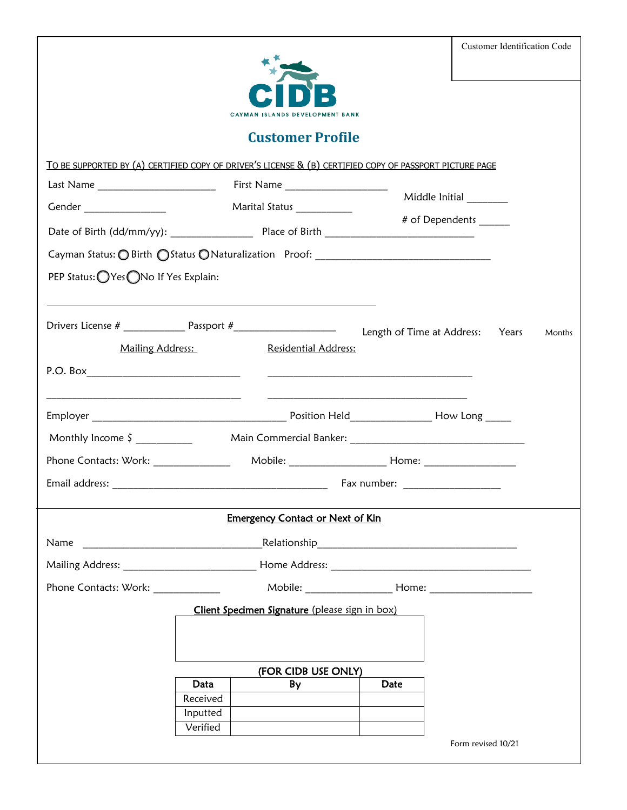|  | Customer Identification Code |  |
|--|------------------------------|--|
|--|------------------------------|--|



# **Customer Profile**

|                                       | TO BE SUPPORTED BY (A) CERTIFIED COPY OF DRIVER'S LICENSE & (B) CERTIFIED COPY OF PASSPORT PICTURE PAGE          |                                                                                                                                                                                                                                      |        |
|---------------------------------------|------------------------------------------------------------------------------------------------------------------|--------------------------------------------------------------------------------------------------------------------------------------------------------------------------------------------------------------------------------------|--------|
|                                       |                                                                                                                  |                                                                                                                                                                                                                                      |        |
| Gender _________________              | Marital Status ____________                                                                                      | Middle Initial ________                                                                                                                                                                                                              |        |
|                                       |                                                                                                                  | # of Dependents                                                                                                                                                                                                                      |        |
|                                       | Cayman Status: O Birth O Status O Naturalization Proof: _________________________                                |                                                                                                                                                                                                                                      |        |
| PEP Status: OYes ONo If Yes Explain:  |                                                                                                                  |                                                                                                                                                                                                                                      |        |
|                                       | and the control of the control of the control of the control of the control of the control of the control of the |                                                                                                                                                                                                                                      |        |
|                                       |                                                                                                                  |                                                                                                                                                                                                                                      | Months |
| Mailing Address:                      | Residential Address:                                                                                             |                                                                                                                                                                                                                                      |        |
| P.O. Box ____________________________ |                                                                                                                  | <u> 2000 - Johann Harry Harry Harry Harry Harry Harry Harry Harry Harry Harry Harry Harry Harry Harry Harry Harry Harry Harry Harry Harry Harry Harry Harry Harry Harry Harry Harry Harry Harry Harry Harry Harry Harry Harry Ha</u> |        |
|                                       |                                                                                                                  | <u> Alexandria de la contrada de la contrada de la contrada de la contrada de la contrada de la contrada de la c</u>                                                                                                                 |        |
| Monthly Income $\frac{1}{2}$          |                                                                                                                  | Main Commercial Banker: New York Community Community Community Community Community Community Community Communi                                                                                                                       |        |
|                                       |                                                                                                                  |                                                                                                                                                                                                                                      |        |
|                                       |                                                                                                                  |                                                                                                                                                                                                                                      |        |
|                                       |                                                                                                                  |                                                                                                                                                                                                                                      |        |
|                                       | <b>Emergency Contact or Next of Kin</b>                                                                          |                                                                                                                                                                                                                                      |        |
| Name                                  |                                                                                                                  |                                                                                                                                                                                                                                      |        |
|                                       |                                                                                                                  |                                                                                                                                                                                                                                      |        |
| Phone Contacts: Work: ______________  |                                                                                                                  |                                                                                                                                                                                                                                      |        |
|                                       | Client Specimen Signature (please sign in box)                                                                   |                                                                                                                                                                                                                                      |        |
|                                       |                                                                                                                  |                                                                                                                                                                                                                                      |        |
|                                       |                                                                                                                  |                                                                                                                                                                                                                                      |        |
|                                       | (FOR CIDB USE ONLY)                                                                                              |                                                                                                                                                                                                                                      |        |
|                                       | Data<br>By                                                                                                       | Date                                                                                                                                                                                                                                 |        |
|                                       | Received<br>Inputted                                                                                             |                                                                                                                                                                                                                                      |        |
|                                       | Verified                                                                                                         |                                                                                                                                                                                                                                      |        |
|                                       |                                                                                                                  |                                                                                                                                                                                                                                      |        |